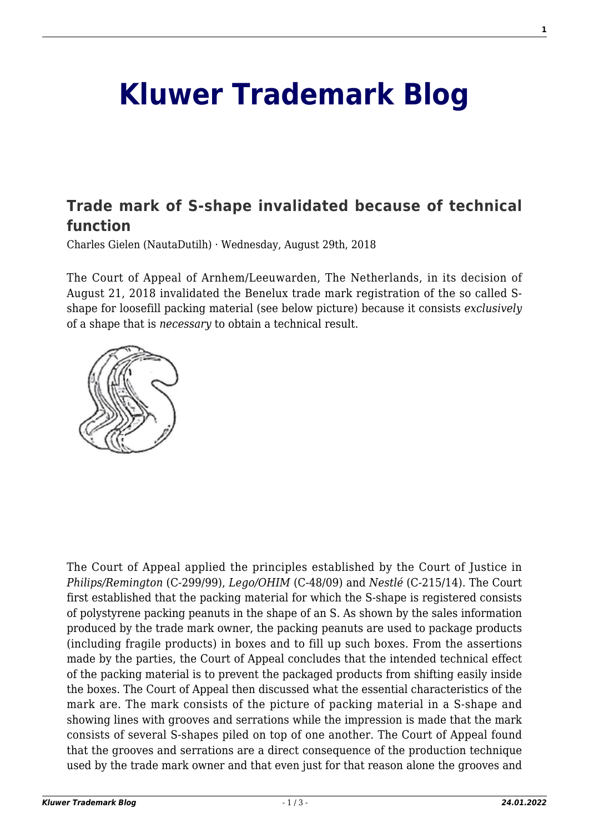## **[Kluwer Trademark Blog](http://trademarkblog.kluweriplaw.com/)**

## **[Trade mark of S-shape invalidated because of technical](http://trademarkblog.kluweriplaw.com/2018/08/29/trade-mark-of-s-shape-invalidated-because-of-technical-function/) [function](http://trademarkblog.kluweriplaw.com/2018/08/29/trade-mark-of-s-shape-invalidated-because-of-technical-function/)**

Charles Gielen (NautaDutilh) · Wednesday, August 29th, 2018

The Court of Appeal of Arnhem/Leeuwarden, The Netherlands, in its decision of August 21, 2018 invalidated the Benelux trade mark registration of the so called Sshape for loosefill packing material (see below picture) because it consists *exclusively* of a shape that is *necessary* to obtain a technical result.



The Court of Appeal applied the principles established by the Court of Justice in *Philips/Remington* (C-299/99), *Lego/OHIM* (C-48/09) and *Nestlé* (C-215/14). The Court first established that the packing material for which the S-shape is registered consists of polystyrene packing peanuts in the shape of an S. As shown by the sales information produced by the trade mark owner, the packing peanuts are used to package products (including fragile products) in boxes and to fill up such boxes. From the assertions made by the parties, the Court of Appeal concludes that the intended technical effect of the packing material is to prevent the packaged products from shifting easily inside the boxes. The Court of Appeal then discussed what the essential characteristics of the mark are. The mark consists of the picture of packing material in a S-shape and showing lines with grooves and serrations while the impression is made that the mark consists of several S-shapes piled on top of one another. The Court of Appeal found that the grooves and serrations are a direct consequence of the production technique used by the trade mark owner and that even just for that reason alone the grooves and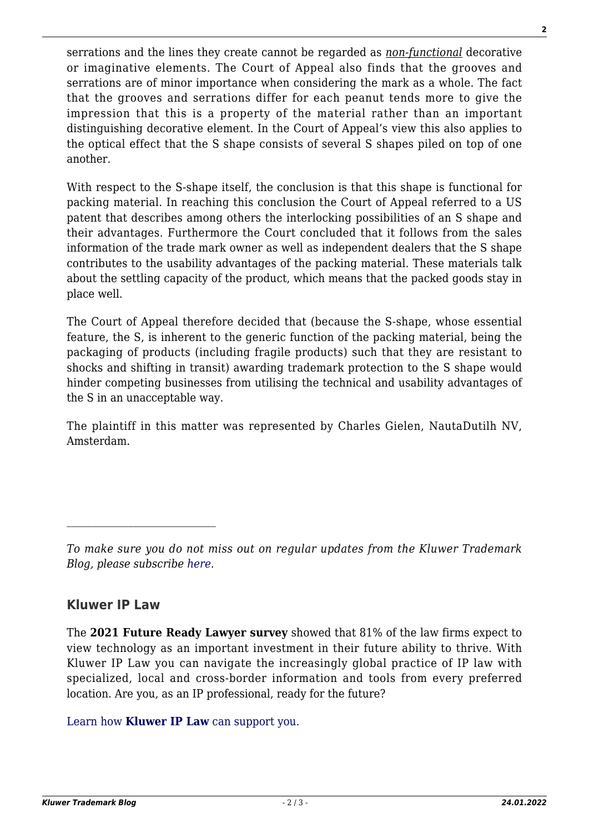serrations and the lines they create cannot be regarded as *non-functional* decorative or imaginative elements. The Court of Appeal also finds that the grooves and serrations are of minor importance when considering the mark as a whole. The fact that the grooves and serrations differ for each peanut tends more to give the impression that this is a property of the material rather than an important distinguishing decorative element. In the Court of Appeal's view this also applies to the optical effect that the S shape consists of several S shapes piled on top of one another.

With respect to the S-shape itself, the conclusion is that this shape is functional for packing material. In reaching this conclusion the Court of Appeal referred to a US patent that describes among others the interlocking possibilities of an S shape and their advantages. Furthermore the Court concluded that it follows from the sales information of the trade mark owner as well as independent dealers that the S shape contributes to the usability advantages of the packing material. These materials talk about the settling capacity of the product, which means that the packed goods stay in place well.

The Court of Appeal therefore decided that (because the S-shape, whose essential feature, the S, is inherent to the generic function of the packing material, being the packaging of products (including fragile products) such that they are resistant to shocks and shifting in transit) awarding trademark protection to the S shape would hinder competing businesses from utilising the technical and usability advantages of the S in an unacceptable way.

The plaintiff in this matter was represented by Charles Gielen, NautaDutilh NV, Amsterdam.

## **Kluwer IP Law**

The **2021 Future Ready Lawyer survey** showed that 81% of the law firms expect to view technology as an important investment in their future ability to thrive. With Kluwer IP Law you can navigate the increasingly global practice of IP law with specialized, local and cross-border information and tools from every preferred location. Are you, as an IP professional, ready for the future?

[Learn how](https://www.wolterskluwer.com/en/solutions/kluweriplaw?utm_source=trademarkblog&utm_medium=articleCTA&utm_campaign=article-banner) **[Kluwer IP Law](https://www.wolterskluwer.com/en/solutions/kluweriplaw?utm_source=trademarkblog&utm_medium=articleCTA&utm_campaign=article-banner)** [can support you.](https://www.wolterskluwer.com/en/solutions/kluweriplaw?utm_source=trademarkblog&utm_medium=articleCTA&utm_campaign=article-banner)

*To make sure you do not miss out on regular updates from the Kluwer Trademark Blog, please subscribe [here](http://trademarkblog.kluweriplaw.com/newsletter/).*